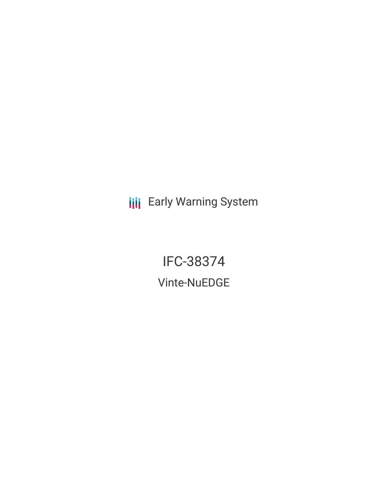**III** Early Warning System

IFC-38374 Vinte-NuEDGE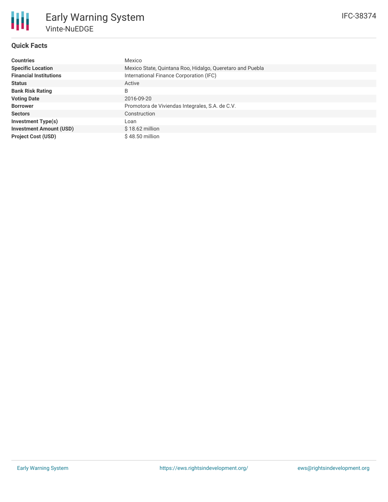# **Quick Facts**

朋

| <b>Countries</b>               | Mexico                                                    |
|--------------------------------|-----------------------------------------------------------|
| <b>Specific Location</b>       | Mexico State, Quintana Roo, Hidalgo, Queretaro and Puebla |
| <b>Financial Institutions</b>  | International Finance Corporation (IFC)                   |
| <b>Status</b>                  | Active                                                    |
| <b>Bank Risk Rating</b>        | B                                                         |
| <b>Voting Date</b>             | 2016-09-20                                                |
| <b>Borrower</b>                | Promotora de Viviendas Integrales, S.A. de C.V.           |
| <b>Sectors</b>                 | Construction                                              |
| <b>Investment Type(s)</b>      | Loan                                                      |
| <b>Investment Amount (USD)</b> | $$18.62$ million                                          |
| <b>Project Cost (USD)</b>      | $$48.50$ million                                          |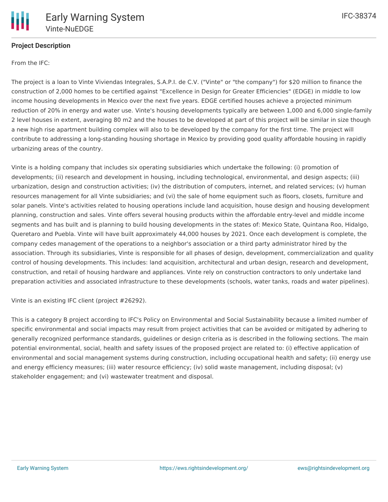

# **Project Description**

From the IFC:

The project is a loan to Vinte Viviendas Integrales, S.A.P.I. de C.V. ("Vinte" or "the company") for \$20 million to finance the construction of 2,000 homes to be certified against "Excellence in Design for Greater Efficiencies" (EDGE) in middle to low income housing developments in Mexico over the next five years. EDGE certified houses achieve a projected minimum reduction of 20% in energy and water use. Vinte's housing developments typically are between 1,000 and 6,000 single-family 2 level houses in extent, averaging 80 m2 and the houses to be developed at part of this project will be similar in size though a new high rise apartment building complex will also to be developed by the company for the first time. The project will contribute to addressing a long-standing housing shortage in Mexico by providing good quality affordable housing in rapidly urbanizing areas of the country.

Vinte is a holding company that includes six operating subsidiaries which undertake the following: (i) promotion of developments; (ii) research and development in housing, including technological, environmental, and design aspects; (iii) urbanization, design and construction activities; (iv) the distribution of computers, internet, and related services; (v) human resources management for all Vinte subsidiaries; and (vi) the sale of home equipment such as floors, closets, furniture and solar panels. Vinte's activities related to housing operations include land acquisition, house design and housing development planning, construction and sales. Vinte offers several housing products within the affordable entry-level and middle income segments and has built and is planning to build housing developments in the states of: Mexico State, Quintana Roo, Hidalgo, Queretaro and Puebla. Vinte will have built approximately 44,000 houses by 2021. Once each development is complete, the company cedes management of the operations to a neighbor's association or a third party administrator hired by the association. Through its subsidiaries, Vinte is responsible for all phases of design, development, commercialization and quality control of housing developments. This includes: land acquisition, architectural and urban design, research and development, construction, and retail of housing hardware and appliances. Vinte rely on construction contractors to only undertake land preparation activities and associated infrastructure to these developments (schools, water tanks, roads and water pipelines).

Vinte is an existing IFC client (project #26292).

This is a category B project according to IFC's Policy on Environmental and Social Sustainability because a limited number of specific environmental and social impacts may result from project activities that can be avoided or mitigated by adhering to generally recognized performance standards, guidelines or design criteria as is described in the following sections. The main potential environmental, social, health and safety issues of the proposed project are related to: (i) effective application of environmental and social management systems during construction, including occupational health and safety; (ii) energy use and energy efficiency measures; (iii) water resource efficiency; (iv) solid waste management, including disposal; (v) stakeholder engagement; and (vi) wastewater treatment and disposal.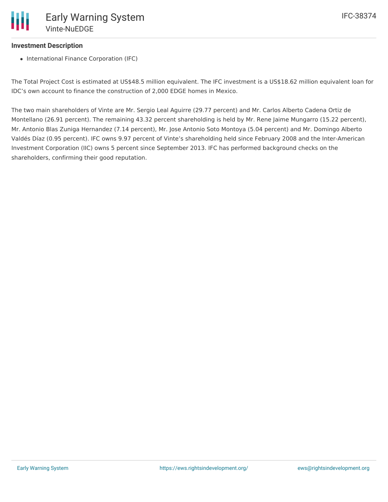# **Investment Description**

• International Finance Corporation (IFC)

The Total Project Cost is estimated at US\$48.5 million equivalent. The IFC investment is a US\$18.62 million equivalent loan for IDC's own account to finance the construction of 2,000 EDGE homes in Mexico.

The two main shareholders of Vinte are Mr. Sergio Leal Aguirre (29.77 percent) and Mr. Carlos Alberto Cadena Ortiz de Montellano (26.91 percent). The remaining 43.32 percent shareholding is held by Mr. Rene Jaime Mungarro (15.22 percent), Mr. Antonio Blas Zuniga Hernandez (7.14 percent), Mr. Jose Antonio Soto Montoya (5.04 percent) and Mr. Domingo Alberto Valdés Díaz (0.95 percent). IFC owns 9.97 percent of Vinte's shareholding held since February 2008 and the Inter-American Investment Corporation (IIC) owns 5 percent since September 2013. IFC has performed background checks on the shareholders, confirming their good reputation.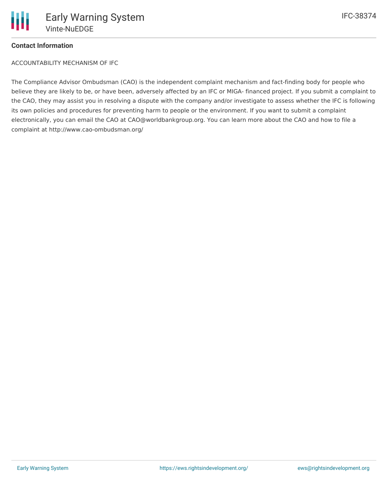

### **Contact Information**

ACCOUNTABILITY MECHANISM OF IFC

The Compliance Advisor Ombudsman (CAO) is the independent complaint mechanism and fact-finding body for people who believe they are likely to be, or have been, adversely affected by an IFC or MIGA- financed project. If you submit a complaint to the CAO, they may assist you in resolving a dispute with the company and/or investigate to assess whether the IFC is following its own policies and procedures for preventing harm to people or the environment. If you want to submit a complaint electronically, you can email the CAO at CAO@worldbankgroup.org. You can learn more about the CAO and how to file a complaint at http://www.cao-ombudsman.org/